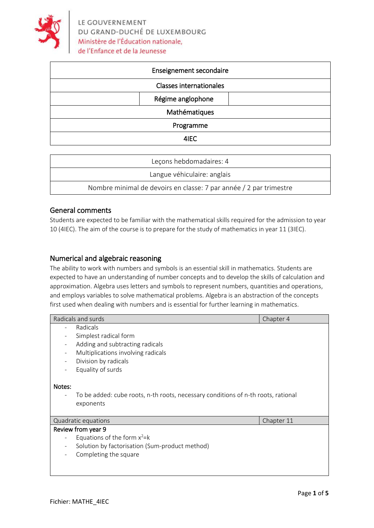

| Enseignement secondaire        |
|--------------------------------|
| <b>Classes internationales</b> |
| Régime anglophone              |
| Mathématiques                  |
| Programme                      |
| 4IEC                           |

| Leçons hebdomadaires: 4                                            |  |
|--------------------------------------------------------------------|--|
| Langue véhiculaire: anglais                                        |  |
| Nombre minimal de devoirs en classe: 7 par année / 2 par trimestre |  |

#### General comments

Students are expected to be familiar with the mathematical skills required for the admission to year 10 (4IEC). The aim of the course is to prepare for the study of mathematics in year 11 (3IEC).

## Numerical and algebraic reasoning

The ability to work with numbers and symbols is an essential skill in mathematics. Students are expected to have an understanding of number concepts and to develop the skills of calculation and approximation. Algebra uses letters and symbols to represent numbers, quantities and operations, and employs variables to solve mathematical problems. Algebra is an abstraction of the concepts first used when dealing with numbers and is essential for further learning in mathematics.

| Radicals and surds                                                                | Chapter 4  |  |  |  |
|-----------------------------------------------------------------------------------|------------|--|--|--|
| Radicals                                                                          |            |  |  |  |
| Simplest radical form                                                             |            |  |  |  |
| Adding and subtracting radicals                                                   |            |  |  |  |
| Multiplications involving radicals                                                |            |  |  |  |
| Division by radicals                                                              |            |  |  |  |
| Equality of surds                                                                 |            |  |  |  |
|                                                                                   |            |  |  |  |
| Notes:                                                                            |            |  |  |  |
| To be added: cube roots, n-th roots, necessary conditions of n-th roots, rational |            |  |  |  |
| exponents                                                                         |            |  |  |  |
|                                                                                   |            |  |  |  |
| Quadratic equations                                                               | Chapter 11 |  |  |  |
| Review from year 9                                                                |            |  |  |  |
| Equations of the form $x^2=k$                                                     |            |  |  |  |
| Solution by factorisation (Sum-product method)                                    |            |  |  |  |
| Completing the square                                                             |            |  |  |  |
|                                                                                   |            |  |  |  |
|                                                                                   |            |  |  |  |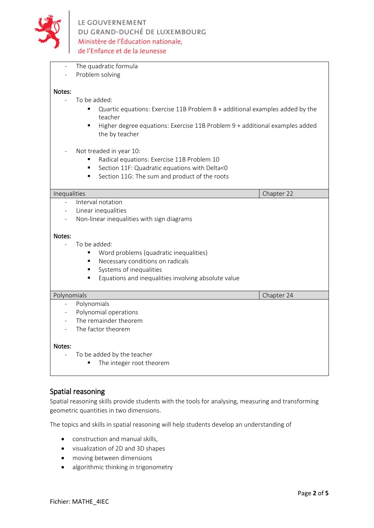

- The quadratic formula
- Problem solving

#### Notes:

- To be added:
	- Quartic equations: Exercise 11B Problem 8 + additional examples added by the teacher
	- Higher degree equations: Exercise 11B Problem 9 + additional examples added the by teacher
- Not treaded in year 10:
	- Radical equations: Exercise 11B Problem 10
	- Section 11F: Quadratic equations with Delta<0
	- Section 11G: The sum and product of the roots

# **Inequalities** Chapter 22 **Chapter 22** Interval notation - Linear inequalities Non-linear inequalities with sign diagrams Notes: To be added: ▪ Word problems (quadratic inequalities) ■ Necessary conditions on radicals Systems of inequalities ■ Equations and inequalities involving absolute value Polynomials **Chapter 24 Chapter 24 Chapter 24 Polynomials** Polynomial operations The remainder theorem The factor theorem Notes: To be added by the teacher ■ The integer root theorem

#### Spatial reasoning

Spatial reasoning skills provide students with the tools for analysing, measuring and transforming geometric quantities in two dimensions.

The topics and skills in spatial reasoning will help students develop an understanding of

- construction and manual skills,
- visualization of 2D and 3D shapes
- moving between dimensions
- algorithmic thinking in trigonometry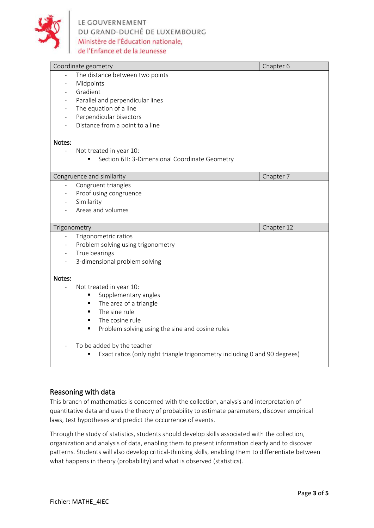

|                          | Coordinate geometry                                  | Chapter 6  |
|--------------------------|------------------------------------------------------|------------|
|                          | The distance between two points                      |            |
|                          | Midpoints                                            |            |
|                          | Gradient                                             |            |
|                          | Parallel and perpendicular lines                     |            |
|                          | The equation of a line                               |            |
| $\blacksquare$           | Perpendicular bisectors                              |            |
|                          | Distance from a point to a line                      |            |
| Notes:                   |                                                      |            |
|                          | Not treated in year 10:                              |            |
|                          | Section 6H: 3-Dimensional Coordinate Geometry        |            |
|                          |                                                      |            |
|                          | Congruence and similarity                            | Chapter 7  |
| $\overline{\phantom{a}}$ | Congruent triangles                                  |            |
|                          | Proof using congruence                               |            |
|                          | Similarity                                           |            |
|                          | Areas and volumes                                    |            |
|                          |                                                      |            |
|                          |                                                      |            |
| Trigonometry             |                                                      | Chapter 12 |
|                          | Trigonometric ratios                                 |            |
|                          | Problem solving using trigonometry                   |            |
|                          | True bearings                                        |            |
|                          | 3-dimensional problem solving                        |            |
| Notes:                   |                                                      |            |
|                          | Not treated in year 10:                              |            |
|                          | Supplementary angles                                 |            |
|                          | The area of a triangle<br>٠                          |            |
|                          | The sine rule<br>$\blacksquare$                      |            |
|                          | The cosine rule<br>٠                                 |            |
|                          | Problem solving using the sine and cosine rules<br>٠ |            |
|                          | To be added by the teacher                           |            |

## Reasoning with data

This branch of mathematics is concerned with the collection, analysis and interpretation of quantitative data and uses the theory of probability to estimate parameters, discover empirical laws, test hypotheses and predict the occurrence of events.

Through the study of statistics, students should develop skills associated with the collection, organization and analysis of data, enabling them to present information clearly and to discover patterns. Students will also develop critical-thinking skills, enabling them to differentiate between what happens in theory (probability) and what is observed (statistics).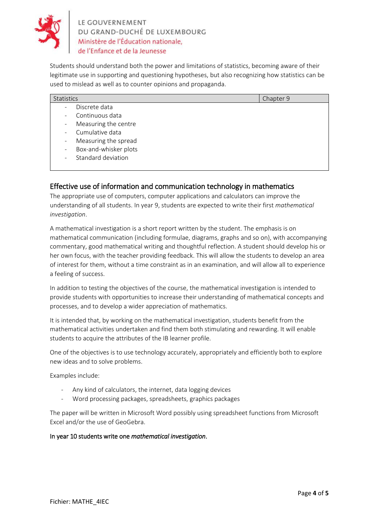

Students should understand both the power and limitations of statistics, becoming aware of their legitimate use in supporting and questioning hypotheses, but also recognizing how statistics can be used to mislead as well as to counter opinions and propaganda.

| Statistics                                        | Chapter 9 |
|---------------------------------------------------|-----------|
| Discrete data                                     |           |
| Continuous data<br>$\sim 100$                     |           |
| Measuring the centre<br>$\sim$                    |           |
| - Cumulative data                                 |           |
| Measuring the spread<br>$\sim$                    |           |
| Box-and-whisker plots<br>$\overline{\phantom{a}}$ |           |
| Standard deviation<br>$\sim$                      |           |
|                                                   |           |

## Effective use of information and communication technology in mathematics

The appropriate use of computers, computer applications and calculators can improve the understanding of all students. In year 9, students are expected to write their first *mathematical investigation*.

A mathematical investigation is a short report written by the student. The emphasis is on mathematical communication (including formulae, diagrams, graphs and so on), with accompanying commentary, good mathematical writing and thoughtful reflection. A student should develop his or her own focus, with the teacher providing feedback. This will allow the students to develop an area of interest for them, without a time constraint as in an examination, and will allow all to experience a feeling of success.

In addition to testing the objectives of the course, the mathematical investigation is intended to provide students with opportunities to increase their understanding of mathematical concepts and processes, and to develop a wider appreciation of mathematics.

It is intended that, by working on the mathematical investigation, students benefit from the mathematical activities undertaken and find them both stimulating and rewarding. It will enable students to acquire the attributes of the IB learner profile.

One of the objectives is to use technology accurately, appropriately and efficiently both to explore new ideas and to solve problems.

Examples include:

- Any kind of calculators, the internet, data logging devices
- Word processing packages, spreadsheets, graphics packages

The paper will be written in Microsoft Word possibly using spreadsheet functions from Microsoft Excel and/or the use of GeoGebra.

#### In year 10 students write one *mathematical investigation*.